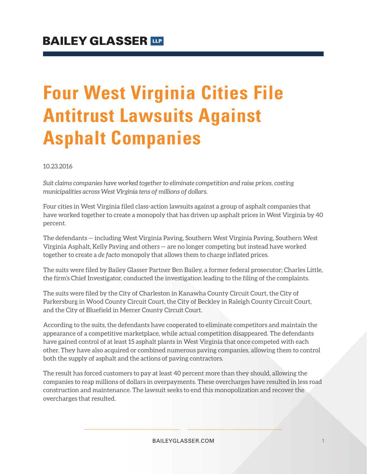# **Four West Virginia Cities File Antitrust Lawsuits Against Asphalt Companies**

10.23.2016

*Suit claims companies have worked together to eliminate competition and raise prices, costing municipalities across West Virginia tens of millions of dollars.*

Four cities in West Virginia filed class-action lawsuits against a group of asphalt companies that have worked together to create a monopoly that has driven up asphalt prices in West Virginia by 40 percent.

The defendants — including West Virginia Paving, Southern West Virginia Paving, Southern West Virginia Asphalt, Kelly Paving and others — are no longer competing but instead have worked together to create a *de facto* monopoly that allows them to charge inflated prices.

The suits were filed by Bailey Glasser Partner Ben Bailey, a former federal prosecutor; Charles Little, the firm's Chief Investigator, conducted the investigation leading to the filing of the complaints.

The suits were filed by the City of Charleston in Kanawha County Circuit Court, the City of Parkersburg in Wood County Circuit Court, the City of Beckley in Raleigh County Circuit Court, and the City of Bluefield in Mercer County Circuit Court.

According to the suits, the defendants have cooperated to eliminate competitors and maintain the appearance of a competitive marketplace, while actual competition disappeared. The defendants have gained control of at least 15 asphalt plants in West Virginia that once competed with each other. They have also acquired or combined numerous paving companies, allowing them to control both the supply of asphalt and the actions of paving contractors.

The result has forced customers to pay at least 40 percent more than they should, allowing the companies to reap millions of dollars in overpayments. These overcharges have resulted in less road construction and maintenance. The lawsuit seeks to end this monopolization and recover the overcharges that resulted.